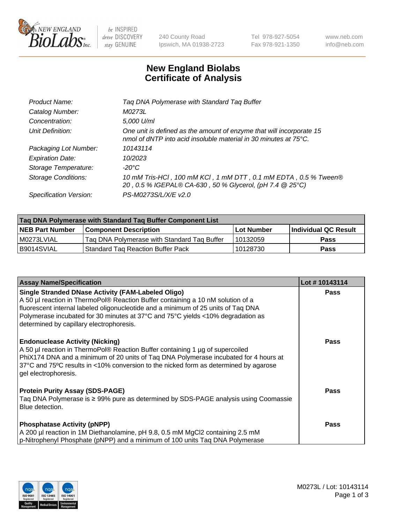

 $be$  INSPIRED drive DISCOVERY stay GENUINE

240 County Road Ipswich, MA 01938-2723 Tel 978-927-5054 Fax 978-921-1350 www.neb.com info@neb.com

## **New England Biolabs Certificate of Analysis**

| Tag DNA Polymerase with Standard Tag Buffer                                                                                              |
|------------------------------------------------------------------------------------------------------------------------------------------|
| M0273L                                                                                                                                   |
| 5,000 U/ml                                                                                                                               |
| One unit is defined as the amount of enzyme that will incorporate 15<br>nmol of dNTP into acid insoluble material in 30 minutes at 75°C. |
| 10143114                                                                                                                                 |
| 10/2023                                                                                                                                  |
| $-20^{\circ}$ C                                                                                                                          |
| 10 mM Tris-HCl, 100 mM KCl, 1 mM DTT, 0.1 mM EDTA, 0.5 % Tween®<br>20, 0.5 % IGEPAL® CA-630, 50 % Glycerol, (pH 7.4 @ 25°C)              |
| PS-M0273S/L/X/E v2.0                                                                                                                     |
|                                                                                                                                          |

| Tag DNA Polymerase with Standard Tag Buffer Component List |                                             |                   |                      |  |  |
|------------------------------------------------------------|---------------------------------------------|-------------------|----------------------|--|--|
| <b>NEB Part Number</b>                                     | Component Description_                      | <b>Lot Number</b> | Individual QC Result |  |  |
| M0273LVIAL                                                 | Tag DNA Polymerase with Standard Tag Buffer | 10132059          | <b>Pass</b>          |  |  |
| B9014SVIAL                                                 | Standard Tag Reaction Buffer Pack           | 10128730          | <b>Pass</b>          |  |  |

| <b>Assay Name/Specification</b>                                                                                                                                                                                                                                                                                                                                  | Lot #10143114 |
|------------------------------------------------------------------------------------------------------------------------------------------------------------------------------------------------------------------------------------------------------------------------------------------------------------------------------------------------------------------|---------------|
| <b>Single Stranded DNase Activity (FAM-Labeled Oligo)</b><br>A 50 µl reaction in ThermoPol® Reaction Buffer containing a 10 nM solution of a<br>fluorescent internal labeled oligonucleotide and a minimum of 25 units of Taq DNA<br>Polymerase incubated for 30 minutes at 37°C and 75°C yields <10% degradation as<br>determined by capillary electrophoresis. | <b>Pass</b>   |
| <b>Endonuclease Activity (Nicking)</b><br>A 50 µl reaction in ThermoPol® Reaction Buffer containing 1 µg of supercoiled<br>PhiX174 DNA and a minimum of 20 units of Tag DNA Polymerase incubated for 4 hours at<br>37°C and 75°C results in <10% conversion to the nicked form as determined by agarose<br>gel electrophoresis.                                  | Pass          |
| <b>Protein Purity Assay (SDS-PAGE)</b><br>Taq DNA Polymerase is ≥ 99% pure as determined by SDS-PAGE analysis using Coomassie<br>Blue detection.                                                                                                                                                                                                                 | <b>Pass</b>   |
| <b>Phosphatase Activity (pNPP)</b><br>A 200 µl reaction in 1M Diethanolamine, pH 9.8, 0.5 mM MgCl2 containing 2.5 mM<br>p-Nitrophenyl Phosphate (pNPP) and a minimum of 100 units Taq DNA Polymerase                                                                                                                                                             | <b>Pass</b>   |

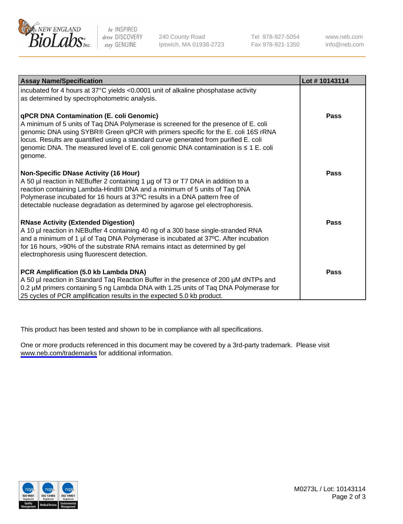

be INSPIRED drive DISCOVERY stay GENUINE

240 County Road Ipswich, MA 01938-2723 Tel 978-927-5054 Fax 978-921-1350

www.neb.com info@neb.com

| <b>Assay Name/Specification</b>                                                                                                                                                                                                                                                                                                                                                                               | Lot #10143114 |
|---------------------------------------------------------------------------------------------------------------------------------------------------------------------------------------------------------------------------------------------------------------------------------------------------------------------------------------------------------------------------------------------------------------|---------------|
| incubated for 4 hours at 37°C yields <0.0001 unit of alkaline phosphatase activity<br>as determined by spectrophotometric analysis.                                                                                                                                                                                                                                                                           |               |
| qPCR DNA Contamination (E. coli Genomic)<br>A minimum of 5 units of Taq DNA Polymerase is screened for the presence of E. coli<br>genomic DNA using SYBR® Green qPCR with primers specific for the E. coli 16S rRNA<br>locus. Results are quantified using a standard curve generated from purified E. coli<br>genomic DNA. The measured level of E. coli genomic DNA contamination is ≤ 1 E. coli<br>genome. | <b>Pass</b>   |
| <b>Non-Specific DNase Activity (16 Hour)</b><br>A 50 µl reaction in NEBuffer 2 containing 1 µg of T3 or T7 DNA in addition to a<br>reaction containing Lambda-HindIII DNA and a minimum of 5 units of Taq DNA<br>Polymerase incubated for 16 hours at 37°C results in a DNA pattern free of<br>detectable nuclease degradation as determined by agarose gel electrophoresis.                                  | <b>Pass</b>   |
| <b>RNase Activity (Extended Digestion)</b><br>A 10 µl reaction in NEBuffer 4 containing 40 ng of a 300 base single-stranded RNA<br>and a minimum of 1 µl of Taq DNA Polymerase is incubated at 37°C. After incubation<br>for 16 hours, >90% of the substrate RNA remains intact as determined by gel<br>electrophoresis using fluorescent detection.                                                          | <b>Pass</b>   |
| PCR Amplification (5.0 kb Lambda DNA)<br>A 50 µl reaction in Standard Taq Reaction Buffer in the presence of 200 µM dNTPs and<br>0.2 µM primers containing 5 ng Lambda DNA with 1.25 units of Taq DNA Polymerase for<br>25 cycles of PCR amplification results in the expected 5.0 kb product.                                                                                                                | <b>Pass</b>   |

This product has been tested and shown to be in compliance with all specifications.

One or more products referenced in this document may be covered by a 3rd-party trademark. Please visit <www.neb.com/trademarks>for additional information.